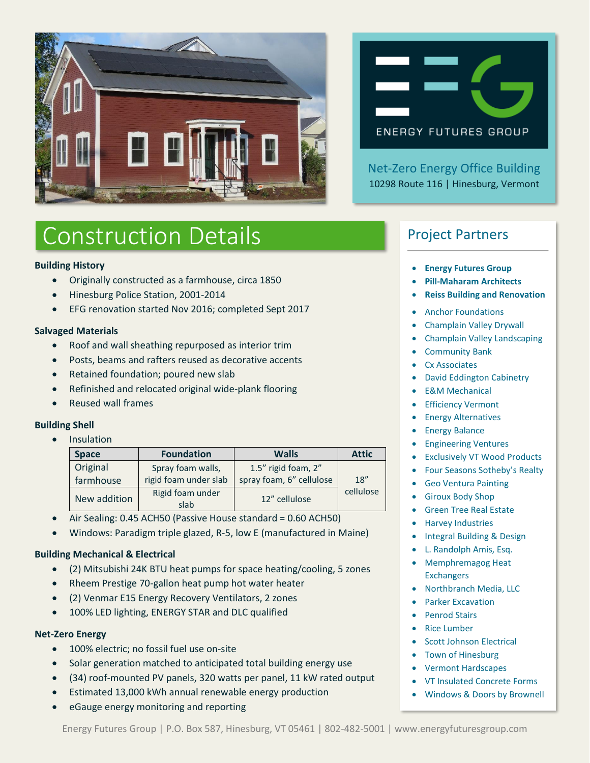



Net-Zero Energy Office Building 10298 Route 116 | Hinesburg, Vermont

# Construction Details

## **Building History**

- Originally constructed as a farmhouse, circa 1850
- Hinesburg Police Station, 2001-2014
- EFG renovation started Nov 2016; completed Sept 2017

## **Salvaged Materials**

- Roof and wall sheathing repurposed as interior trim
- Posts, beams and rafters reused as decorative accents
- Retained foundation; poured new slab
- Refinished and relocated original wide-plank flooring
- Reused wall frames

#### **Building Shell**

• Insulation

| <b>Space</b> | <b>Foundation</b>        | <b>Walls</b>             | <b>Attic</b> |
|--------------|--------------------------|--------------------------|--------------|
| Original     | Spray foam walls,        | 1.5" rigid foam, 2"      |              |
| farmhouse    | rigid foam under slab    | spray foam, 6" cellulose | 18''         |
| New addition | Rigid foam under<br>slab | 12" cellulose            | cellulose    |

- Air Sealing: 0.45 ACH50 (Passive House standard = 0.60 ACH50)
- Windows: Paradigm triple glazed, R-5, low E (manufactured in Maine)

#### **Building Mechanical & Electrical**

- (2) Mitsubishi 24K BTU heat pumps for space heating/cooling, 5 zones
- Rheem Prestige 70-gallon heat pump hot water heater
- (2) Venmar E15 Energy Recovery Ventilators, 2 zones
- 100% LED lighting, ENERGY STAR and DLC qualified

#### **Net-Zero Energy**

- 100% electric; no fossil fuel use on-site
- Solar generation matched to anticipated total building energy use
- (34) roof-mounted PV panels, 320 watts per panel, 11 kW rated output
- Estimated 13,000 kWh annual renewable energy production
- eGauge energy monitoring and reporting

# Project Partners

- **Energy Futures Group**
- **Pill-Maharam Architects**
- **Reiss Building and Renovation**
- Anchor Foundations
- Champlain Valley Drywall
- Champlain Valley Landscaping
- Community Bank
- Cx Associates
- David Eddington Cabinetry
- E&M Mechanical
- **Efficiency Vermont**
- Energy Alternatives
- Energy Balance
- Engineering Ventures
- **Exclusively VT Wood Products**
- Four Seasons Sotheby's Realty
- Geo Ventura Painting
- Giroux Body Shop
- Green Tree Real Estate
- Harvey Industries
- Integral Building & Design
- L. Randolph Amis, Esq.
- Memphremagog Heat **Exchangers**
- Northbranch Media, LLC
- Parker Excavation
- Penrod Stairs
- Rice Lumber
- Scott Johnson Electrical
- Town of Hinesburg
- Vermont Hardscapes
- VT Insulated Concrete Forms
- Windows & Doors by Brownell